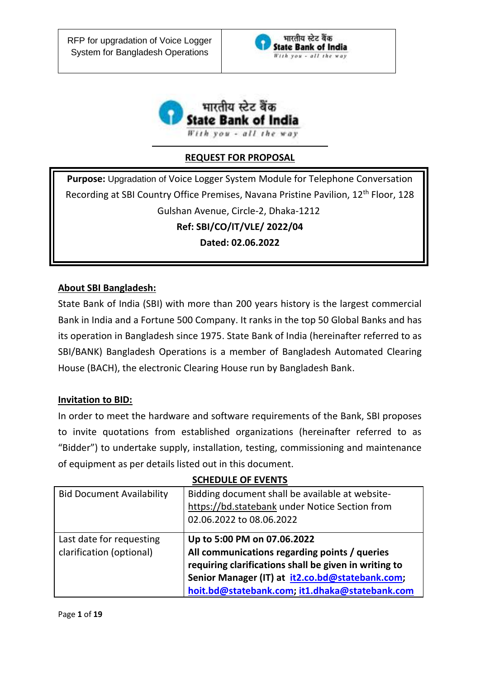



# **REQUEST FOR PROPOSAL**

**Purpose:** Upgradation of Voice Logger System Module for Telephone Conversation Recording at SBI Country Office Premises, Navana Pristine Pavilion, 12th Floor, 128 Gulshan Avenue, Circle-2, Dhaka-1212 **Ref: SBI/CO/IT/VLE/ 2022/04 Dated: 02.06.2022**

# **About SBI Bangladesh:**

State Bank of India (SBI) with more than 200 years history is the largest commercial Bank in India and a Fortune 500 Company. It ranks in the top 50 Global Banks and has its operation in Bangladesh since 1975. State Bank of India (hereinafter referred to as SBI/BANK) Bangladesh Operations is a member of Bangladesh Automated Clearing House (BACH), the electronic Clearing House run by Bangladesh Bank.

#### **Invitation to BID:**

In order to meet the hardware and software requirements of the Bank, SBI proposes to invite quotations from established organizations (hereinafter referred to as "Bidder") to undertake supply, installation, testing, commissioning and maintenance of equipment as per details listed out in this document.

#### **SCHEDULE OF EVENTS**

| <b>Bid Document Availability</b>                     | Bidding document shall be available at website-<br>https://bd.statebank under Notice Section from<br>02.06.2022 to 08.06.2022                                                                                                              |  |
|------------------------------------------------------|--------------------------------------------------------------------------------------------------------------------------------------------------------------------------------------------------------------------------------------------|--|
| Last date for requesting<br>clarification (optional) | Up to 5:00 PM on 07.06.2022<br>All communications regarding points / queries<br>requiring clarifications shall be given in writing to<br>Senior Manager (IT) at it2.co.bd@statebank.com;<br>hoit.bd@statebank.com; it1.dhaka@statebank.com |  |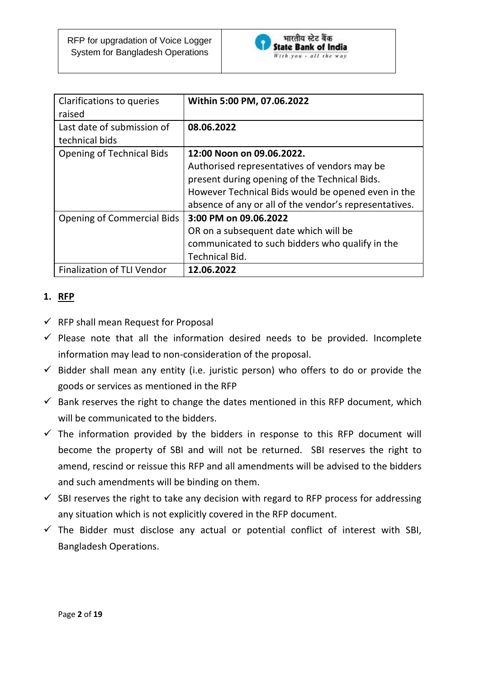

| Clarifications to queries<br>raised          | Within 5:00 PM, 07.06.2022                             |
|----------------------------------------------|--------------------------------------------------------|
| Last date of submission of<br>technical bids | 08.06.2022                                             |
| <b>Opening of Technical Bids</b>             | 12:00 Noon on 09.06.2022.                              |
|                                              | Authorised representatives of vendors may be           |
|                                              | present during opening of the Technical Bids.          |
|                                              | However Technical Bids would be opened even in the     |
|                                              | absence of any or all of the vendor's representatives. |
| <b>Opening of Commercial Bids</b>            | 3:00 PM on 09.06.2022                                  |
|                                              | OR on a subsequent date which will be                  |
|                                              | communicated to such bidders who qualify in the        |
|                                              | <b>Technical Bid.</b>                                  |
| <b>Finalization of TLI Vendor</b>            | 12.06.2022                                             |

# **1. RFP**

- $\checkmark$  RFP shall mean Request for Proposal
- $\checkmark$  Please note that all the information desired needs to be provided. Incomplete information may lead to non-consideration of the proposal.
- $\checkmark$  Bidder shall mean any entity (i.e. juristic person) who offers to do or provide the goods or services as mentioned in the RFP
- $\checkmark$  Bank reserves the right to change the dates mentioned in this RFP document, which will be communicated to the bidders.
- $\checkmark$  The information provided by the bidders in response to this RFP document will become the property of SBI and will not be returned. SBI reserves the right to amend, rescind or reissue this RFP and all amendments will be advised to the bidders and such amendments will be binding on them.
- $\checkmark$  SBI reserves the right to take any decision with regard to RFP process for addressing any situation which is not explicitly covered in the RFP document.
- $\checkmark$  The Bidder must disclose any actual or potential conflict of interest with SBI, Bangladesh Operations.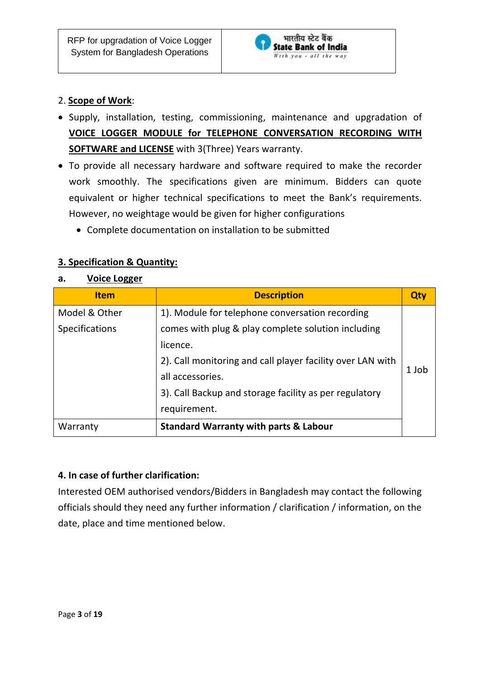

# 2. **Scope of Work**:

- Supply, installation, testing, commissioning, maintenance and upgradation of **VOICE LOGGER MODULE for TELEPHONE CONVERSATION RECORDING WITH SOFTWARE and LICENSE** with 3(Three) Years warranty.
- To provide all necessary hardware and software required to make the recorder work smoothly. The specifications given are minimum. Bidders can quote equivalent or higher technical specifications to meet the Bank's requirements. However, no weightage would be given for higher configurations
	- Complete documentation on installation to be submitted

# **3. Specification & Quantity:**

#### **a. Voice Logger**

| <b>Item</b>           | <b>Description</b>                                                                                                           |       |
|-----------------------|------------------------------------------------------------------------------------------------------------------------------|-------|
| Model & Other         | 1). Module for telephone conversation recording                                                                              |       |
| <b>Specifications</b> | comes with plug & play complete solution including<br>licence.<br>2). Call monitoring and call player facility over LAN with |       |
|                       |                                                                                                                              |       |
|                       |                                                                                                                              |       |
|                       | all accessories.                                                                                                             | 1 Job |
|                       | 3). Call Backup and storage facility as per regulatory                                                                       |       |
| requirement.          |                                                                                                                              |       |
| Warranty              | <b>Standard Warranty with parts &amp; Labour</b>                                                                             |       |

#### **4. In case of further clarification:**

Interested OEM authorised vendors/Bidders in Bangladesh may contact the following officials should they need any further information / clarification / information, on the date, place and time mentioned below.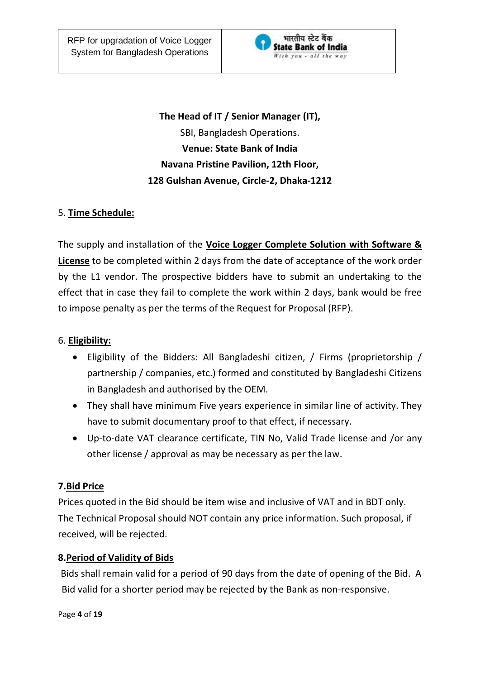

**The Head of IT / Senior Manager (IT),**  SBI, Bangladesh Operations. **Venue: State Bank of India Navana Pristine Pavilion, 12th Floor, 128 Gulshan Avenue, Circle-2, Dhaka-1212**

# 5. **Time Schedule:**

The supply and installation of the **Voice Logger Complete Solution with Software & License** to be completed within 2 days from the date of acceptance of the work order by the L1 vendor. The prospective bidders have to submit an undertaking to the effect that in case they fail to complete the work within 2 days, bank would be free to impose penalty as per the terms of the Request for Proposal (RFP).

#### 6. **Eligibility:**

- Eligibility of the Bidders: All Bangladeshi citizen, / Firms (proprietorship / partnership / companies, etc.) formed and constituted by Bangladeshi Citizens in Bangladesh and authorised by the OEM.
- They shall have minimum Five years experience in similar line of activity. They have to submit documentary proof to that effect, if necessary.
- Up-to-date VAT clearance certificate, TIN No, Valid Trade license and /or any other license / approval as may be necessary as per the law.

#### **7.Bid Price**

Prices quoted in the Bid should be item wise and inclusive of VAT and in BDT only. The Technical Proposal should NOT contain any price information. Such proposal, if received, will be rejected.

#### **8.Period of Validity of Bids**

Bids shall remain valid for a period of 90 days from the date of opening of the Bid. A Bid valid for a shorter period may be rejected by the Bank as non-responsive.

Page **4** of **19**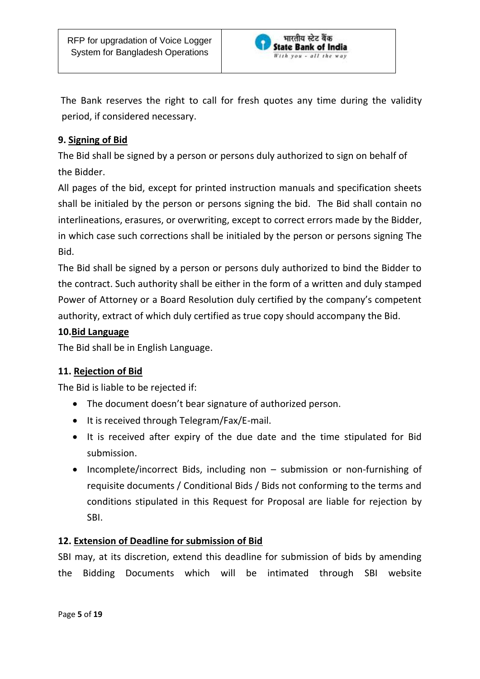

 The Bank reserves the right to call for fresh quotes any time during the validity period, if considered necessary.

# **9. Signing of Bid**

The Bid shall be signed by a person or persons duly authorized to sign on behalf of the Bidder.

All pages of the bid, except for printed instruction manuals and specification sheets shall be initialed by the person or persons signing the bid. The Bid shall contain no interlineations, erasures, or overwriting, except to correct errors made by the Bidder, in which case such corrections shall be initialed by the person or persons signing The Bid.

The Bid shall be signed by a person or persons duly authorized to bind the Bidder to the contract. Such authority shall be either in the form of a written and duly stamped Power of Attorney or a Board Resolution duly certified by the company's competent authority, extract of which duly certified as true copy should accompany the Bid.

#### **10.Bid Language**

The Bid shall be in English Language.

# **11. Rejection of Bid**

The Bid is liable to be rejected if:

- The document doesn't bear signature of authorized person.
- It is received through Telegram/Fax/E-mail.
- It is received after expiry of the due date and the time stipulated for Bid submission.
- Incomplete/incorrect Bids, including non submission or non-furnishing of requisite documents / Conditional Bids / Bids not conforming to the terms and conditions stipulated in this Request for Proposal are liable for rejection by SBI.

# **12. Extension of Deadline for submission of Bid**

SBI may, at its discretion, extend this deadline for submission of bids by amending the Bidding Documents which will be intimated through SBI website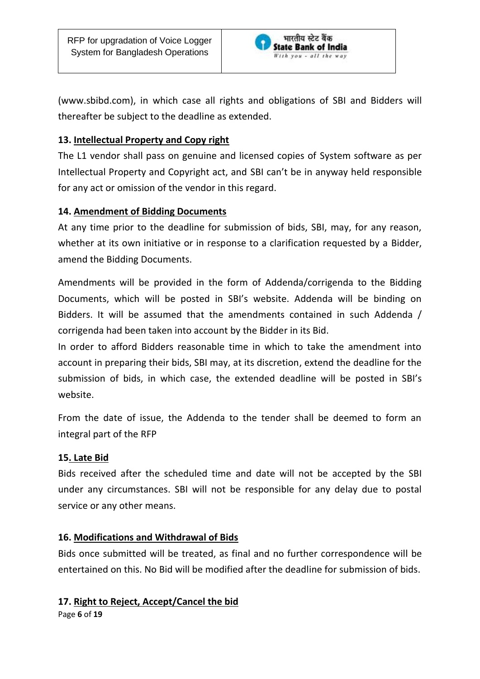

(www.sbibd.com), in which case all rights and obligations of SBI and Bidders will thereafter be subject to the deadline as extended.

# **13. Intellectual Property and Copy right**

The L1 vendor shall pass on genuine and licensed copies of System software as per Intellectual Property and Copyright act, and SBI can't be in anyway held responsible for any act or omission of the vendor in this regard.

# **14. Amendment of Bidding Documents**

At any time prior to the deadline for submission of bids, SBI, may, for any reason, whether at its own initiative or in response to a clarification requested by a Bidder, amend the Bidding Documents.

Amendments will be provided in the form of Addenda/corrigenda to the Bidding Documents, which will be posted in SBI's website. Addenda will be binding on Bidders. It will be assumed that the amendments contained in such Addenda / corrigenda had been taken into account by the Bidder in its Bid.

In order to afford Bidders reasonable time in which to take the amendment into account in preparing their bids, SBI may, at its discretion, extend the deadline for the submission of bids, in which case, the extended deadline will be posted in SBI's website.

From the date of issue, the Addenda to the tender shall be deemed to form an integral part of the RFP

#### **15. Late Bid**

Bids received after the scheduled time and date will not be accepted by the SBI under any circumstances. SBI will not be responsible for any delay due to postal service or any other means.

#### **16. Modifications and Withdrawal of Bids**

Bids once submitted will be treated, as final and no further correspondence will be entertained on this. No Bid will be modified after the deadline for submission of bids.

#### **17. Right to Reject, Accept/Cancel the bid**

Page **6** of **19**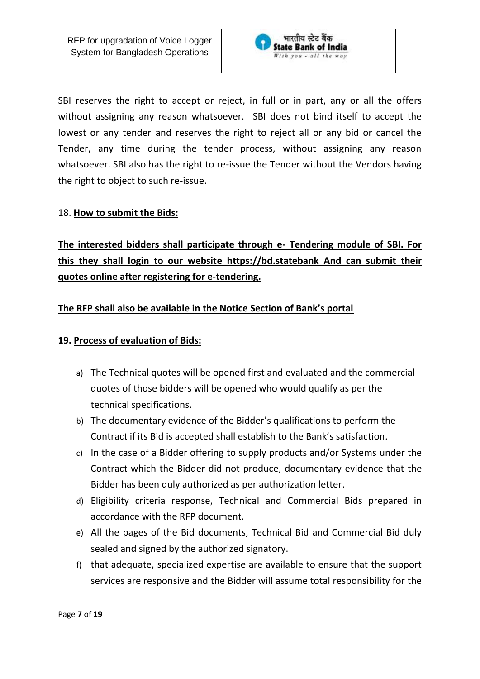

SBI reserves the right to accept or reject, in full or in part, any or all the offers without assigning any reason whatsoever. SBI does not bind itself to accept the lowest or any tender and reserves the right to reject all or any bid or cancel the Tender, any time during the tender process, without assigning any reason whatsoever. SBI also has the right to re-issue the Tender without the Vendors having the right to object to such re-issue.

#### 18. **How to submit the Bids:**

**The interested bidders shall participate through e- Tendering module of SBI. For this they shall login to our website https://bd.statebank And can submit their quotes online after registering for e-tendering.**

#### **The RFP shall also be available in the Notice Section of Bank's portal**

#### **19. Process of evaluation of Bids:**

- a) The Technical quotes will be opened first and evaluated and the commercial quotes of those bidders will be opened who would qualify as per the technical specifications.
- b) The documentary evidence of the Bidder's qualifications to perform the Contract if its Bid is accepted shall establish to the Bank's satisfaction.
- c) In the case of a Bidder offering to supply products and/or Systems under the Contract which the Bidder did not produce, documentary evidence that the Bidder has been duly authorized as per authorization letter.
- d) Eligibility criteria response, Technical and Commercial Bids prepared in accordance with the RFP document.
- e) All the pages of the Bid documents, Technical Bid and Commercial Bid duly sealed and signed by the authorized signatory.
- f) that adequate, specialized expertise are available to ensure that the support services are responsive and the Bidder will assume total responsibility for the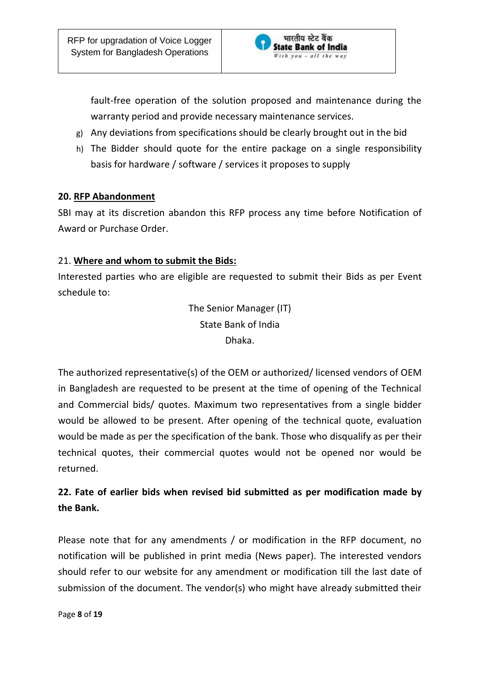

fault-free operation of the solution proposed and maintenance during the warranty period and provide necessary maintenance services.

- g) Any deviations from specifications should be clearly brought out in the bid
- h) The Bidder should quote for the entire package on a single responsibility basis for hardware / software / services it proposes to supply

#### **20. RFP Abandonment**

SBI may at its discretion abandon this RFP process any time before Notification of Award or Purchase Order.

#### 21. **Where and whom to submit the Bids:**

Interested parties who are eligible are requested to submit their Bids as per Event schedule to:

> The Senior Manager (IT) State Bank of India Dhaka.

The authorized representative(s) of the OEM or authorized/ licensed vendors of OEM in Bangladesh are requested to be present at the time of opening of the Technical and Commercial bids/ quotes. Maximum two representatives from a single bidder would be allowed to be present. After opening of the technical quote, evaluation would be made as per the specification of the bank. Those who disqualify as per their technical quotes, their commercial quotes would not be opened nor would be returned.

# **22. Fate of earlier bids when revised bid submitted as per modification made by the Bank.**

Please note that for any amendments / or modification in the RFP document, no notification will be published in print media (News paper). The interested vendors should refer to our website for any amendment or modification till the last date of submission of the document. The vendor(s) who might have already submitted their

Page **8** of **19**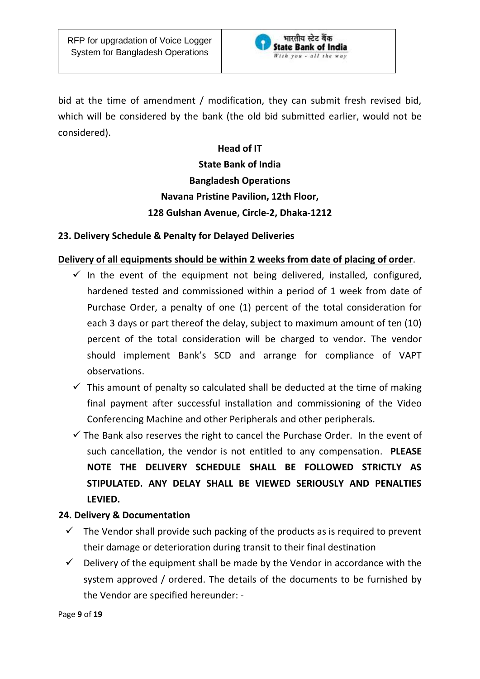

bid at the time of amendment / modification, they can submit fresh revised bid, which will be considered by the bank (the old bid submitted earlier, would not be considered).

### **Head of IT**

# **State Bank of India Bangladesh Operations Navana Pristine Pavilion, 12th Floor, 128 Gulshan Avenue, Circle-2, Dhaka-1212**

#### **23. Delivery Schedule & Penalty for Delayed Deliveries**

#### **Delivery of all equipments should be within 2 weeks from date of placing of order**.

- $\checkmark$  In the event of the equipment not being delivered, installed, configured, hardened tested and commissioned within a period of 1 week from date of Purchase Order, a penalty of one (1) percent of the total consideration for each 3 days or part thereof the delay, subject to maximum amount of ten (10) percent of the total consideration will be charged to vendor. The vendor should implement Bank's SCD and arrange for compliance of VAPT observations.
- $\checkmark$  This amount of penalty so calculated shall be deducted at the time of making final payment after successful installation and commissioning of the Video Conferencing Machine and other Peripherals and other peripherals.
- $\checkmark$  The Bank also reserves the right to cancel the Purchase Order. In the event of such cancellation, the vendor is not entitled to any compensation. **PLEASE NOTE THE DELIVERY SCHEDULE SHALL BE FOLLOWED STRICTLY AS STIPULATED. ANY DELAY SHALL BE VIEWED SERIOUSLY AND PENALTIES LEVIED.**

# **24. Delivery & Documentation**

- $\checkmark$  The Vendor shall provide such packing of the products as is required to prevent their damage or deterioration during transit to their final destination
- $\checkmark$  Delivery of the equipment shall be made by the Vendor in accordance with the system approved / ordered. The details of the documents to be furnished by the Vendor are specified hereunder: -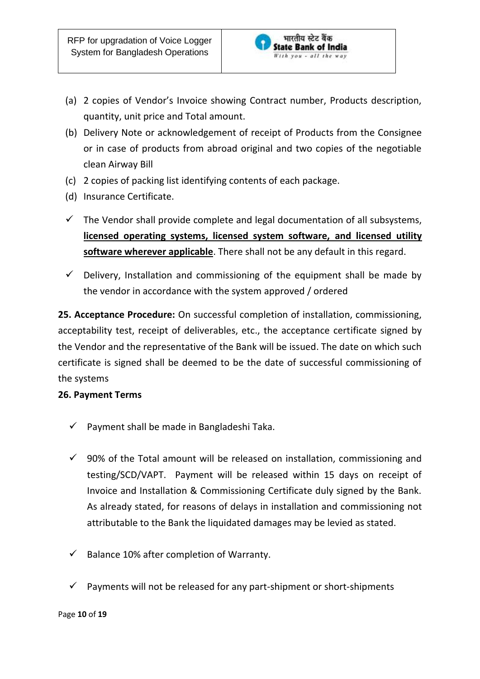

- (a) 2 copies of Vendor's Invoice showing Contract number, Products description, quantity, unit price and Total amount.
- (b) Delivery Note or acknowledgement of receipt of Products from the Consignee or in case of products from abroad original and two copies of the negotiable clean Airway Bill
- (c) 2 copies of packing list identifying contents of each package.
- (d) Insurance Certificate.
- $\checkmark$  The Vendor shall provide complete and legal documentation of all subsystems, **licensed operating systems, licensed system software, and licensed utility software wherever applicable**. There shall not be any default in this regard.
- $\checkmark$  Delivery, Installation and commissioning of the equipment shall be made by the vendor in accordance with the system approved / ordered

**25. Acceptance Procedure:** On successful completion of installation, commissioning, acceptability test, receipt of deliverables, etc., the acceptance certificate signed by the Vendor and the representative of the Bank will be issued. The date on which such certificate is signed shall be deemed to be the date of successful commissioning of the systems

#### **26. Payment Terms**

- $\checkmark$  Payment shall be made in Bangladeshi Taka.
- $\checkmark$  90% of the Total amount will be released on installation, commissioning and testing/SCD/VAPT. Payment will be released within 15 days on receipt of Invoice and Installation & Commissioning Certificate duly signed by the Bank. As already stated, for reasons of delays in installation and commissioning not attributable to the Bank the liquidated damages may be levied as stated.
- $\checkmark$  Balance 10% after completion of Warranty.
- $\checkmark$  Payments will not be released for any part-shipment or short-shipments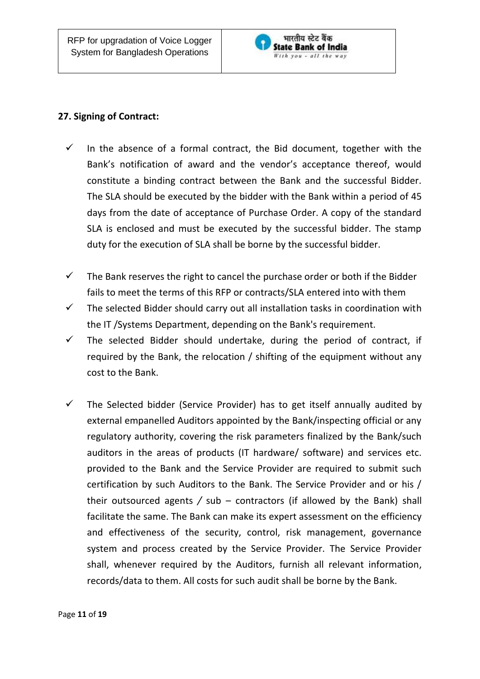

# **27. Signing of Contract:**

- $\checkmark$  In the absence of a formal contract, the Bid document, together with the Bank's notification of award and the vendor's acceptance thereof, would constitute a binding contract between the Bank and the successful Bidder. The SLA should be executed by the bidder with the Bank within a period of 45 days from the date of acceptance of Purchase Order. A copy of the standard SLA is enclosed and must be executed by the successful bidder. The stamp duty for the execution of SLA shall be borne by the successful bidder.
- $\checkmark$  The Bank reserves the right to cancel the purchase order or both if the Bidder fails to meet the terms of this RFP or contracts/SLA entered into with them
- $\checkmark$  The selected Bidder should carry out all installation tasks in coordination with the IT /Systems Department, depending on the Bank's requirement.
- $\checkmark$  The selected Bidder should undertake, during the period of contract, if required by the Bank, the relocation / shifting of the equipment without any cost to the Bank.
- $\checkmark$  The Selected bidder (Service Provider) has to get itself annually audited by external empanelled Auditors appointed by the Bank/inspecting official or any regulatory authority, covering the risk parameters finalized by the Bank/such auditors in the areas of products (IT hardware/ software) and services etc. provided to the Bank and the Service Provider are required to submit such certification by such Auditors to the Bank. The Service Provider and or his / their outsourced agents */* sub – contractors (if allowed by the Bank) shall facilitate the same. The Bank can make its expert assessment on the efficiency and effectiveness of the security, control, risk management, governance system and process created by the Service Provider. The Service Provider shall, whenever required by the Auditors, furnish all relevant information, records/data to them. All costs for such audit shall be borne by the Bank.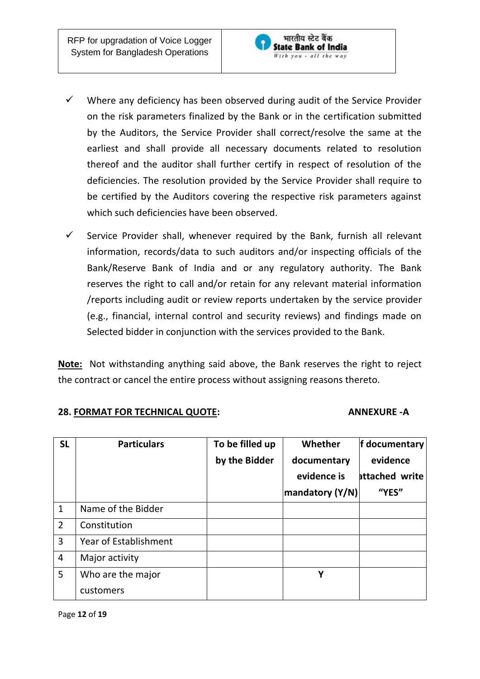

- $\checkmark$  Where any deficiency has been observed during audit of the Service Provider on the risk parameters finalized by the Bank or in the certification submitted by the Auditors, the Service Provider shall correct/resolve the same at the earliest and shall provide all necessary documents related to resolution thereof and the auditor shall further certify in respect of resolution of the deficiencies. The resolution provided by the Service Provider shall require to be certified by the Auditors covering the respective risk parameters against which such deficiencies have been observed.
- $\checkmark$  Service Provider shall, whenever required by the Bank, furnish all relevant information, records/data to such auditors and/or inspecting officials of the Bank/Reserve Bank of India and or any regulatory authority. The Bank reserves the right to call and/or retain for any relevant material information /reports including audit or review reports undertaken by the service provider (e.g., financial, internal control and security reviews) and findings made on Selected bidder in conjunction with the services provided to the Bank.

**Note:** Not withstanding anything said above, the Bank reserves the right to reject the contract or cancel the entire process without assigning reasons thereto.

#### **28. FORMAT FOR TECHNICAL QUOTE: ANNEXURE -A**

| <b>SL</b>      | <b>Particulars</b>           | To be filled up<br>by the Bidder | Whether<br>documentary<br>evidence is<br>mandatory (Y/N) | f documentary<br>evidence<br>attached write<br>"YES" |
|----------------|------------------------------|----------------------------------|----------------------------------------------------------|------------------------------------------------------|
| $\mathbf{1}$   | Name of the Bidder           |                                  |                                                          |                                                      |
| $\overline{2}$ | Constitution                 |                                  |                                                          |                                                      |
| 3              | <b>Year of Establishment</b> |                                  |                                                          |                                                      |
| $\overline{4}$ | Major activity               |                                  |                                                          |                                                      |
| 5              | Who are the major            |                                  | Υ                                                        |                                                      |
|                | customers                    |                                  |                                                          |                                                      |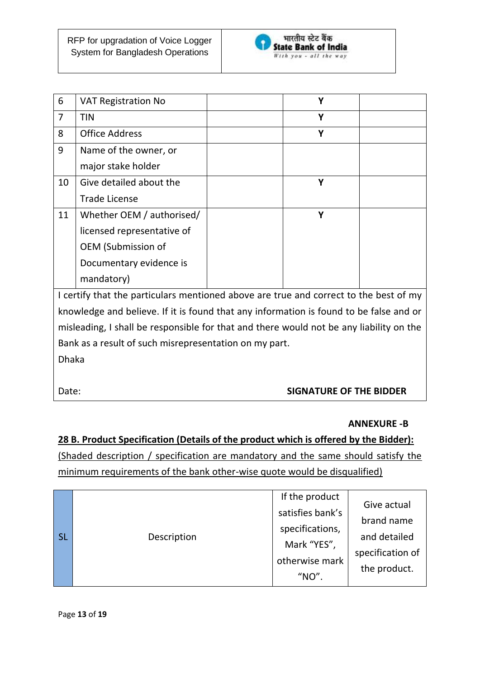

| 6              | <b>VAT Registration No</b> | Υ |  |
|----------------|----------------------------|---|--|
| $\overline{7}$ | <b>TIN</b>                 | Y |  |
| 8              | <b>Office Address</b>      | Υ |  |
| 9              | Name of the owner, or      |   |  |
|                | major stake holder         |   |  |
| 10             | Give detailed about the    | Υ |  |
|                | <b>Trade License</b>       |   |  |
| 11             | Whether OEM / authorised/  | Υ |  |
|                | licensed representative of |   |  |
|                | <b>OEM</b> (Submission of  |   |  |
|                | Documentary evidence is    |   |  |
|                | mandatory)                 |   |  |

I certify that the particulars mentioned above are true and correct to the best of my knowledge and believe. If it is found that any information is found to be false and or misleading, I shall be responsible for that and there would not be any liability on the Bank as a result of such misrepresentation on my part. Dhaka

# Date: **SIGNATURE OF THE BIDDER**

#### **ANNEXURE -B**

# **28 B. Product Specification (Details of the product which is offered by the Bidder):** (Shaded description / specification are mandatory and the same should satisfy the minimum requirements of the bank other-wise quote would be disqualified)

| l sl | Description | If the product<br>satisfies bank's<br>specifications,<br>Mark "YES",<br>otherwise mark<br>"NO" | Give actual<br>brand name<br>and detailed<br>specification of<br>the product. |
|------|-------------|------------------------------------------------------------------------------------------------|-------------------------------------------------------------------------------|
|------|-------------|------------------------------------------------------------------------------------------------|-------------------------------------------------------------------------------|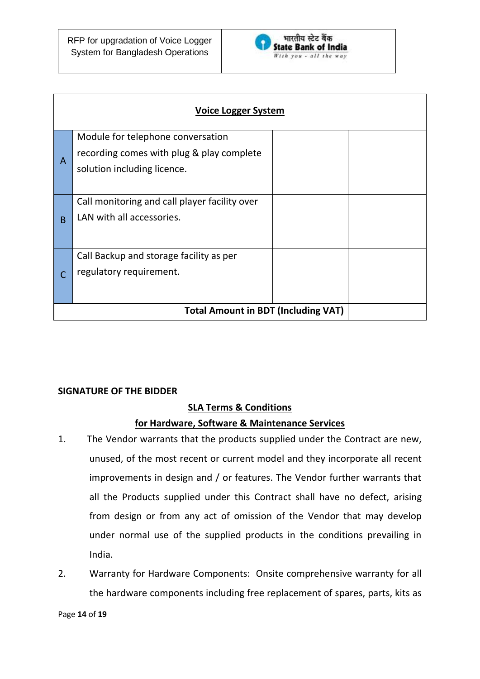

| <b>Voice Logger System</b> |                                                                                                               |  |  |
|----------------------------|---------------------------------------------------------------------------------------------------------------|--|--|
| A                          | Module for telephone conversation<br>recording comes with plug & play complete<br>solution including licence. |  |  |
| B                          | Call monitoring and call player facility over<br>LAN with all accessories.                                    |  |  |
| C                          | Call Backup and storage facility as per<br>regulatory requirement.                                            |  |  |
|                            | <b>Total Amount in BDT (Including VAT)</b>                                                                    |  |  |

#### **SIGNATURE OF THE BIDDER**

#### **SLA Terms & Conditions**

#### **for Hardware, Software & Maintenance Services**

- 1. The Vendor warrants that the products supplied under the Contract are new, unused, of the most recent or current model and they incorporate all recent improvements in design and / or features. The Vendor further warrants that all the Products supplied under this Contract shall have no defect, arising from design or from any act of omission of the Vendor that may develop under normal use of the supplied products in the conditions prevailing in India.
- 2. Warranty for Hardware Components: Onsite comprehensive warranty for all the hardware components including free replacement of spares, parts, kits as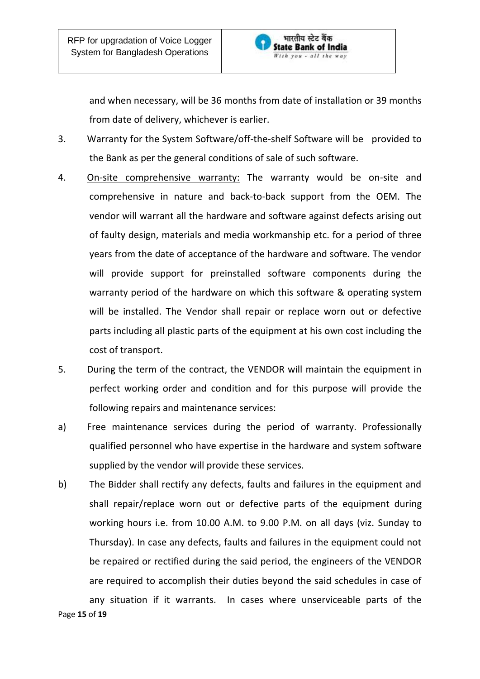

and when necessary, will be 36 months from date of installation or 39 months from date of delivery, whichever is earlier.

- 3. Warranty for the System Software/off-the-shelf Software will be provided to the Bank as per the general conditions of sale of such software.
- 4. On-site comprehensive warranty: The warranty would be on-site and comprehensive in nature and back-to-back support from the OEM. The vendor will warrant all the hardware and software against defects arising out of faulty design, materials and media workmanship etc. for a period of three years from the date of acceptance of the hardware and software. The vendor will provide support for preinstalled software components during the warranty period of the hardware on which this software & operating system will be installed. The Vendor shall repair or replace worn out or defective parts including all plastic parts of the equipment at his own cost including the cost of transport.
- 5. During the term of the contract, the VENDOR will maintain the equipment in perfect working order and condition and for this purpose will provide the following repairs and maintenance services:
- a) Free maintenance services during the period of warranty. Professionally qualified personnel who have expertise in the hardware and system software supplied by the vendor will provide these services.
- b) The Bidder shall rectify any defects, faults and failures in the equipment and shall repair/replace worn out or defective parts of the equipment during working hours i.e. from 10.00 A.M. to 9.00 P.M. on all days (viz. Sunday to Thursday). In case any defects, faults and failures in the equipment could not be repaired or rectified during the said period, the engineers of the VENDOR are required to accomplish their duties beyond the said schedules in case of any situation if it warrants. In cases where unserviceable parts of the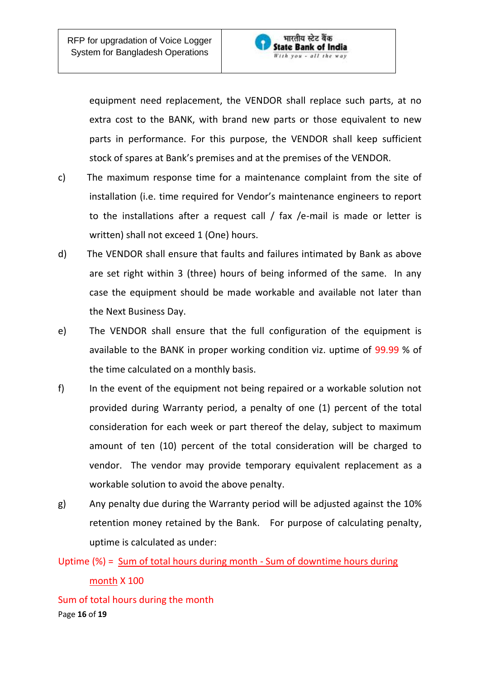

equipment need replacement, the VENDOR shall replace such parts, at no extra cost to the BANK, with brand new parts or those equivalent to new parts in performance. For this purpose, the VENDOR shall keep sufficient stock of spares at Bank's premises and at the premises of the VENDOR.

- c) The maximum response time for a maintenance complaint from the site of installation (i.e. time required for Vendor's maintenance engineers to report to the installations after a request call / fax /e-mail is made or letter is written) shall not exceed 1 (One) hours.
- d) The VENDOR shall ensure that faults and failures intimated by Bank as above are set right within 3 (three) hours of being informed of the same. In any case the equipment should be made workable and available not later than the Next Business Day.
- e) The VENDOR shall ensure that the full configuration of the equipment is available to the BANK in proper working condition viz. uptime of 99.99 % of the time calculated on a monthly basis.
- f) In the event of the equipment not being repaired or a workable solution not provided during Warranty period, a penalty of one (1) percent of the total consideration for each week or part thereof the delay, subject to maximum amount of ten (10) percent of the total consideration will be charged to vendor. The vendor may provide temporary equivalent replacement as a workable solution to avoid the above penalty.
- g) Any penalty due during the Warranty period will be adjusted against the 10% retention money retained by the Bank. For purpose of calculating penalty, uptime is calculated as under:

Uptime (%) = Sum of total hours during month - Sum of downtime hours during

Page **16** of **19** Sum of total hours during the month

month X 100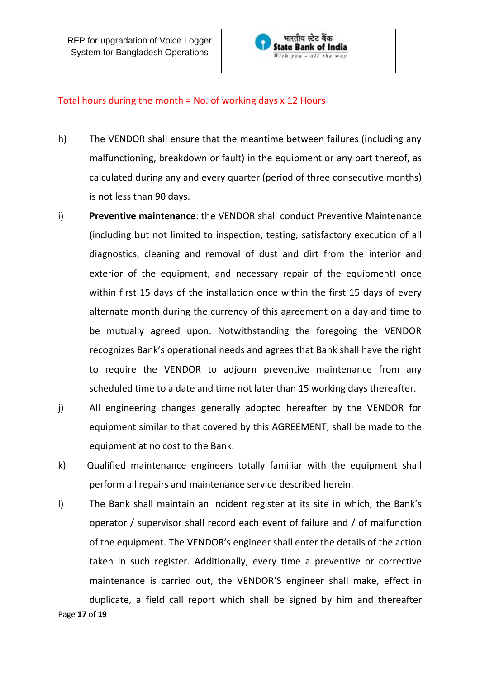

#### Total hours during the month = No. of working days x 12 Hours

- h) The VENDOR shall ensure that the meantime between failures (including any malfunctioning, breakdown or fault) in the equipment or any part thereof, as calculated during any and every quarter (period of three consecutive months) is not less than 90 days.
- i) **Preventive maintenance**: the VENDOR shall conduct Preventive Maintenance (including but not limited to inspection, testing, satisfactory execution of all diagnostics, cleaning and removal of dust and dirt from the interior and exterior of the equipment, and necessary repair of the equipment) once within first 15 days of the installation once within the first 15 days of every alternate month during the currency of this agreement on a day and time to be mutually agreed upon. Notwithstanding the foregoing the VENDOR recognizes Bank's operational needs and agrees that Bank shall have the right to require the VENDOR to adjourn preventive maintenance from any scheduled time to a date and time not later than 15 working days thereafter.
- j) All engineering changes generally adopted hereafter by the VENDOR for equipment similar to that covered by this AGREEMENT, shall be made to the equipment at no cost to the Bank.
- k) Qualified maintenance engineers totally familiar with the equipment shall perform all repairs and maintenance service described herein.
- l) The Bank shall maintain an Incident register at its site in which, the Bank's operator / supervisor shall record each event of failure and / of malfunction of the equipment. The VENDOR's engineer shall enter the details of the action taken in such register. Additionally, every time a preventive or corrective maintenance is carried out, the VENDOR'S engineer shall make, effect in duplicate, a field call report which shall be signed by him and thereafter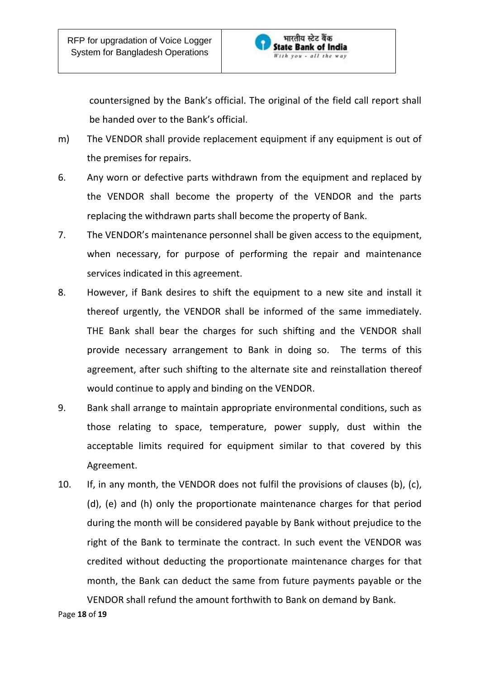

countersigned by the Bank's official. The original of the field call report shall be handed over to the Bank's official.

- m) The VENDOR shall provide replacement equipment if any equipment is out of the premises for repairs.
- 6. Any worn or defective parts withdrawn from the equipment and replaced by the VENDOR shall become the property of the VENDOR and the parts replacing the withdrawn parts shall become the property of Bank.
- 7. The VENDOR's maintenance personnel shall be given access to the equipment, when necessary, for purpose of performing the repair and maintenance services indicated in this agreement.
- 8. However, if Bank desires to shift the equipment to a new site and install it thereof urgently, the VENDOR shall be informed of the same immediately. THE Bank shall bear the charges for such shifting and the VENDOR shall provide necessary arrangement to Bank in doing so. The terms of this agreement, after such shifting to the alternate site and reinstallation thereof would continue to apply and binding on the VENDOR.
- 9. Bank shall arrange to maintain appropriate environmental conditions, such as those relating to space, temperature, power supply, dust within the acceptable limits required for equipment similar to that covered by this Agreement.
- 10. If, in any month, the VENDOR does not fulfil the provisions of clauses (b), (c), (d), (e) and (h) only the proportionate maintenance charges for that period during the month will be considered payable by Bank without prejudice to the right of the Bank to terminate the contract. In such event the VENDOR was credited without deducting the proportionate maintenance charges for that month, the Bank can deduct the same from future payments payable or the